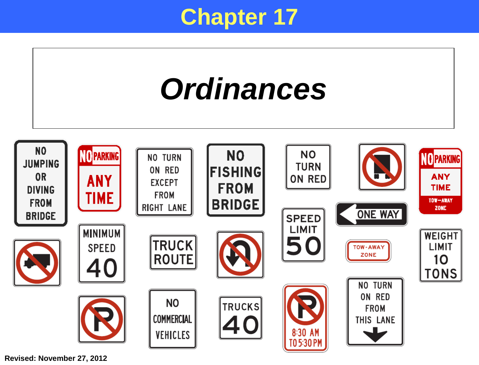## **Chapter 17**



**Revised: November 27, 2012**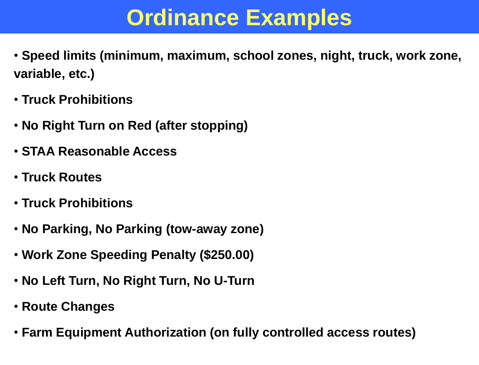## **Ordinance Examples**

- **Speed limits (minimum, maximum, school zones, night, truck, work zone, variable, etc.)**
- **Truck Prohibitions**
- **No Right Turn on Red (after stopping)**
- **STAA Reasonable Access**
- **Truck Routes**
- **Truck Prohibitions**
- **No Parking, No Parking (tow-away zone)**
- **Work Zone Speeding Penalty (\$250.00)**
- **No Left Turn, No Right Turn, No U-Turn**
- **Route Changes**
- **Farm Equipment Authorization (on fully controlled access routes)**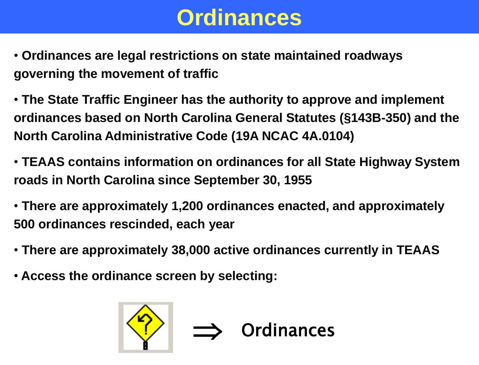# **Ordinances**

- **Ordinances are legal restrictions on state maintained roadways governing the movement of traffic**
- **The State Traffic Engineer has the authority to approve and implement ordinances based on North Carolina General Statutes (§143B-350) and the North Carolina Administrative Code (19A NCAC 4A.0104)**
- **TEAAS contains information on ordinances for all State Highway System roads in North Carolina since September 30, 1955**
- **There are approximately 1,200 ordinances enacted, and approximately 500 ordinances rescinded, each year**
- **There are approximately 38,000 active ordinances currently in TEAAS**
- **Access the ordinance screen by selecting:**

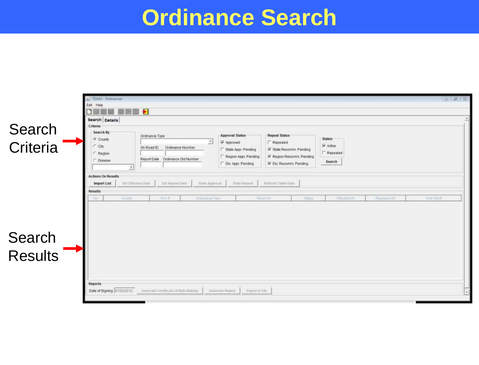## **Ordinance Search**

|                   | Ar TEAAS - Didinances                 |                                     |                                   |                         | $ a   = 1$                              |  |
|-------------------|---------------------------------------|-------------------------------------|-----------------------------------|-------------------------|-----------------------------------------|--|
|                   | Edit. Help                            |                                     |                                   |                         |                                         |  |
|                   | п                                     |                                     |                                   |                         |                                         |  |
|                   | Search Details<br>Criteria            |                                     |                                   |                         |                                         |  |
| Search            | Search By                             |                                     | Approval Status                   | <b>Repeal Status</b>    |                                         |  |
|                   | Ordinance Type<br><b>County</b>       | $\sim$                              | Approved                          | F Repealed              | <b>Status</b>                           |  |
| Criteria          | City<br>On Road ID                    | Ordinance Number                    | State Appr. Pending               | V State Recomm. Pending | P Active                                |  |
|                   | Region                                | Report Date Ordinance Did Number    | Region Appr. Pending              | Region Recomm. Pending  | $\Gamma$ Repealed                       |  |
|                   | <b>Division</b><br>치                  |                                     | T Div: Appr. Pending              | V Div, Recomm, Pending  | Search                                  |  |
|                   | <b>Actions On Results</b>             |                                     |                                   |                         |                                         |  |
|                   | Set Effective Date<br>Import List     | Set Repeat Dirts<br>State Approval  | State Reposit                     | Keliesh Table Data      |                                         |  |
|                   | <b>Results</b>                        |                                     |                                   |                         |                                         |  |
|                   | County<br>$\sim$                      | $D = 1$<br>Oldrianin Trpo           | <b>Read Oil</b>                   | maux)                   | OIL OILE<br>Elisable DI<br>Reponient DC |  |
|                   |                                       |                                     |                                   |                         |                                         |  |
|                   |                                       |                                     |                                   |                         |                                         |  |
|                   |                                       |                                     |                                   |                         |                                         |  |
|                   |                                       |                                     |                                   |                         |                                         |  |
|                   |                                       |                                     |                                   |                         |                                         |  |
|                   |                                       |                                     |                                   |                         |                                         |  |
| Search<br>Results |                                       |                                     |                                   |                         |                                         |  |
|                   |                                       |                                     |                                   |                         |                                         |  |
|                   |                                       |                                     |                                   |                         |                                         |  |
|                   |                                       |                                     |                                   |                         |                                         |  |
|                   | Reports<br>Date of Signing 07/02/2012 | Generate Certificate of Baie Making | Generals Report<br>Export to File |                         |                                         |  |
|                   |                                       |                                     |                                   |                         |                                         |  |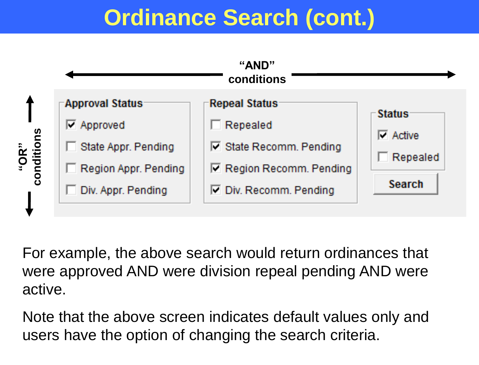# **Ordinance Search (cont.)**



For example, the above search would return ordinances that were approved AND were division repeal pending AND were active.

Note that the above screen indicates default values only and users have the option of changing the search criteria.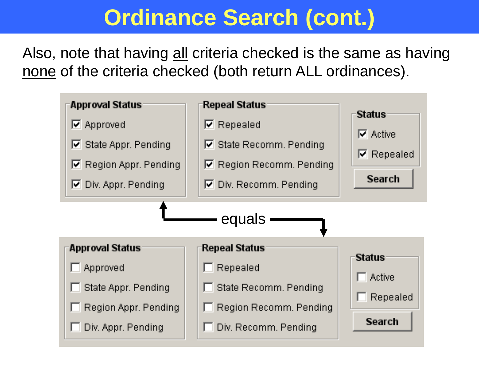## **Ordinance Search (cont.)**

Also, note that having all criteria checked is the same as having none of the criteria checked (both return ALL ordinances).

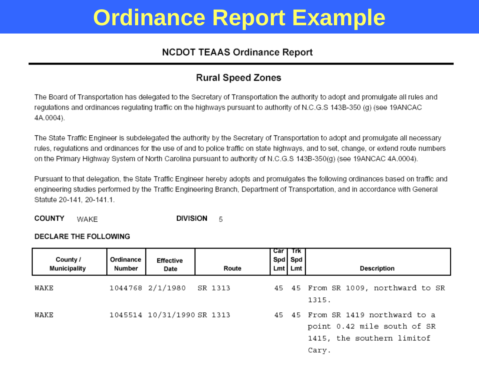# **Ordinance Report Example**

### **NCDOT TEAAS Ordinance Report**

### **Rural Speed Zones**

The Board of Transportation has delegated to the Secretary of Transportation the authority to adopt and promulgate all rules and regulations and ordinances regulating traffic on the highways pursuant to authority of N.C.G.S 143B-350 (g) (see 19ANCAC 4A.0004).

The State Traffic Engineer is subdelegated the authority by the Secretary of Transportation to adopt and promulgate all necessary rules, regulations and ordinances for the use of and to police traffic on state highways, and to set, change, or extend route numbers on the Primary Highway System of North Carolina pursuant to authority of N.C.G.S 143B-350(g) (see 19ANCAC 4A.0004).

Pursuant to that delegation, the State Traffic Engineer hereby adopts and promulgates the following ordinances based on traffic and engineering studies performed by the Traffic Engineering Branch, Department of Transportation, and in accordance with General Statute 20-141, 20-141.1.

**COUNTY DIVISION** WAKE 5

#### DECLARE THE FOLLOWING

| County /<br><b>Municipality</b> | Ordinance<br>Number | Effective<br>Date          | Route | Car<br>Spd Spd<br>Lmt | Trk<br>Lmt | Description                                                                                             |
|---------------------------------|---------------------|----------------------------|-------|-----------------------|------------|---------------------------------------------------------------------------------------------------------|
| WAKE                            |                     | 1044768 2/1/1980 SR 1313   |       |                       |            | 45 45 From SR 1009, northward to SR<br>1315.                                                            |
| WAKE                            |                     | 1045514 10/31/1990 SR 1313 |       |                       |            | 45 45 From SR 1419 northward to a<br>point 0.42 mile south of SR<br>1415, the southern limitof<br>Cary. |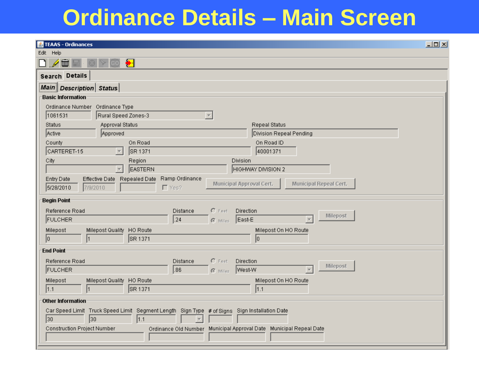## **Ordinance Details – Main Screen**

| & TEAAS - Ordinances                                                                                               | 모미지 |
|--------------------------------------------------------------------------------------------------------------------|-----|
| Edit Help                                                                                                          |     |
| $\bullet$<br>二                                                                                                     |     |
| Search Details                                                                                                     |     |
| Main   Description   Status                                                                                        |     |
| <b>Basic Information</b>                                                                                           |     |
| Ordinance Number Ordinance Type                                                                                    |     |
| 1061531<br>Rural Speed Zones-3                                                                                     |     |
| Approval Status<br>Status<br><b>Repeal Status</b>                                                                  |     |
| Approved<br>Active<br>Division Repeal Pending                                                                      |     |
| On Road<br>On Road ID<br>County                                                                                    |     |
| CARTERET-15<br>40001371<br>SR 1371<br>$\overline{\phantom{a}}$                                                     |     |
| City<br>Region<br>Division                                                                                         |     |
| <b>EASTERN</b><br>HIGHWAY DIVISION 2                                                                               |     |
| Ramp Ordinance<br>Entry Date<br>Effective Date Repealed Date<br>Municipal Approval Cert.<br>Municipal Repeal Cert. |     |
| 7/9/2010<br>$\Gamma$ Yes?<br>5/28/2010                                                                             |     |
| <b>Begin Point</b>                                                                                                 |     |
| $C$ Feet<br>Reference Road<br>Distance<br>Direction<br>Milepost                                                    |     |
| .24<br>East-E<br><b>FULCHER</b><br>$C$ Miles                                                                       |     |
| HO Route<br>Milepost<br>Milepost Quality<br>Milepost On HO Route                                                   |     |
| SR 1371<br>10<br>I٥                                                                                                |     |
| <b>End Point</b>                                                                                                   |     |
| Reference Road<br>$C$ Feet<br>Distance<br>Direction                                                                |     |
| <b>Milepost</b><br>86.<br>West-W<br><b>FULCHER</b><br>$C$ Miles                                                    |     |
| Milepost<br>HO Route<br>Milepost On HO Route<br>Milepost Quality                                                   |     |
| SR 1371<br> 1.1<br> 1.1                                                                                            |     |
| <b>Other Information</b>                                                                                           |     |
| Car Speed Limit Truck Speed Limit Segment Length Sign Type # of Signs Sign Installation Date                       |     |
| 30<br> 1.1<br>30                                                                                                   |     |
| Ordinance Old Number Municipal Approval Date Municipal Repeal Date<br>Construction Project Number                  |     |
|                                                                                                                    |     |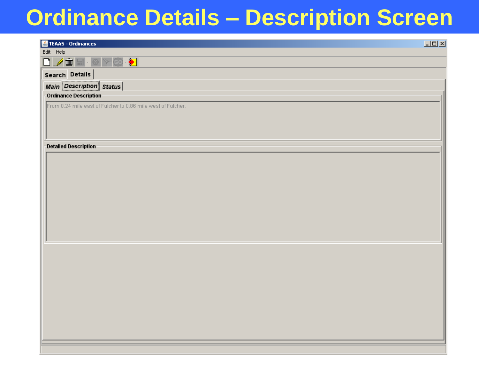## **Ordinance Details – Description Screen**

| TEAAS - Ordinances                                           | $\Box$ D $\times$ |
|--------------------------------------------------------------|-------------------|
| Edit Help                                                    |                   |
| $\bullet$<br>eo                                              |                   |
| Search Details                                               |                   |
| Main Description Status                                      |                   |
| -Ordinance Description                                       |                   |
| From 0.24 mile east of Fulcher to 0.86 mile west of Fulcher. |                   |
| Detailed Description                                         |                   |
|                                                              |                   |
|                                                              |                   |
|                                                              |                   |
|                                                              |                   |
|                                                              |                   |
|                                                              |                   |
|                                                              |                   |
|                                                              |                   |
|                                                              |                   |
|                                                              |                   |
|                                                              |                   |
|                                                              |                   |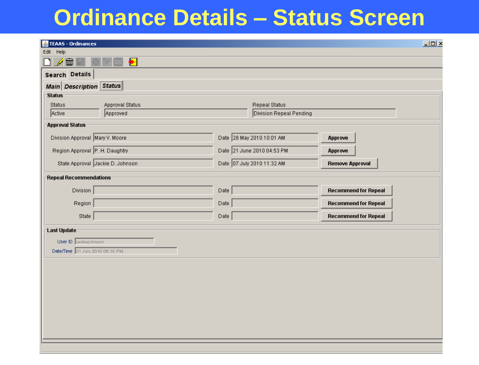## **Ordinance Details – Status Screen**

| Edit Help<br>$\bullet$<br>$\square \nearrow$<br>Search Details<br>Main Description Status<br><b>Status</b><br>Status<br>Approval Status<br><b>Repeal Status</b><br>Active<br>Division Repeal Pending<br>Approved<br><b>Approval Status</b><br>Date 28 May 2010 10:01 AM<br>Division Approval Mary V. Moore<br>Approve<br>Region Approval P. H. Daughtry<br>Date 21 June 2010 04:53 PM<br>Approve<br>Date 07 July 2010 11:32 AM<br>State Approval Jackie D. Johnson<br><b>Remove Approval</b><br><b>Repeal Recommendations</b><br>Division $\sqrt{\frac{1}{2}}$<br><b>Recommend for Repeal</b><br>Date<br>Region<br>Date<br><b>Recommend for Repeal</b><br>State<br>Data<br><b>Recommend for Repeal</b><br>Last Update<br>User ID   jackiejohnson<br>Date/Time 01 July 2010 06:10 PM | TEAAS - Ordinances |  |  | $\Box$ |
|-------------------------------------------------------------------------------------------------------------------------------------------------------------------------------------------------------------------------------------------------------------------------------------------------------------------------------------------------------------------------------------------------------------------------------------------------------------------------------------------------------------------------------------------------------------------------------------------------------------------------------------------------------------------------------------------------------------------------------------------------------------------------------------|--------------------|--|--|--------|
|                                                                                                                                                                                                                                                                                                                                                                                                                                                                                                                                                                                                                                                                                                                                                                                     |                    |  |  |        |
|                                                                                                                                                                                                                                                                                                                                                                                                                                                                                                                                                                                                                                                                                                                                                                                     |                    |  |  |        |
|                                                                                                                                                                                                                                                                                                                                                                                                                                                                                                                                                                                                                                                                                                                                                                                     |                    |  |  |        |
|                                                                                                                                                                                                                                                                                                                                                                                                                                                                                                                                                                                                                                                                                                                                                                                     |                    |  |  |        |
|                                                                                                                                                                                                                                                                                                                                                                                                                                                                                                                                                                                                                                                                                                                                                                                     |                    |  |  |        |
|                                                                                                                                                                                                                                                                                                                                                                                                                                                                                                                                                                                                                                                                                                                                                                                     |                    |  |  |        |
|                                                                                                                                                                                                                                                                                                                                                                                                                                                                                                                                                                                                                                                                                                                                                                                     |                    |  |  |        |
|                                                                                                                                                                                                                                                                                                                                                                                                                                                                                                                                                                                                                                                                                                                                                                                     |                    |  |  |        |
|                                                                                                                                                                                                                                                                                                                                                                                                                                                                                                                                                                                                                                                                                                                                                                                     |                    |  |  |        |
|                                                                                                                                                                                                                                                                                                                                                                                                                                                                                                                                                                                                                                                                                                                                                                                     |                    |  |  |        |
|                                                                                                                                                                                                                                                                                                                                                                                                                                                                                                                                                                                                                                                                                                                                                                                     |                    |  |  |        |
|                                                                                                                                                                                                                                                                                                                                                                                                                                                                                                                                                                                                                                                                                                                                                                                     |                    |  |  |        |
|                                                                                                                                                                                                                                                                                                                                                                                                                                                                                                                                                                                                                                                                                                                                                                                     |                    |  |  |        |
|                                                                                                                                                                                                                                                                                                                                                                                                                                                                                                                                                                                                                                                                                                                                                                                     |                    |  |  |        |
|                                                                                                                                                                                                                                                                                                                                                                                                                                                                                                                                                                                                                                                                                                                                                                                     |                    |  |  |        |
|                                                                                                                                                                                                                                                                                                                                                                                                                                                                                                                                                                                                                                                                                                                                                                                     |                    |  |  |        |
|                                                                                                                                                                                                                                                                                                                                                                                                                                                                                                                                                                                                                                                                                                                                                                                     |                    |  |  |        |
|                                                                                                                                                                                                                                                                                                                                                                                                                                                                                                                                                                                                                                                                                                                                                                                     |                    |  |  |        |
|                                                                                                                                                                                                                                                                                                                                                                                                                                                                                                                                                                                                                                                                                                                                                                                     |                    |  |  |        |
|                                                                                                                                                                                                                                                                                                                                                                                                                                                                                                                                                                                                                                                                                                                                                                                     |                    |  |  |        |
|                                                                                                                                                                                                                                                                                                                                                                                                                                                                                                                                                                                                                                                                                                                                                                                     |                    |  |  |        |
|                                                                                                                                                                                                                                                                                                                                                                                                                                                                                                                                                                                                                                                                                                                                                                                     |                    |  |  |        |
|                                                                                                                                                                                                                                                                                                                                                                                                                                                                                                                                                                                                                                                                                                                                                                                     |                    |  |  |        |
|                                                                                                                                                                                                                                                                                                                                                                                                                                                                                                                                                                                                                                                                                                                                                                                     |                    |  |  |        |
|                                                                                                                                                                                                                                                                                                                                                                                                                                                                                                                                                                                                                                                                                                                                                                                     |                    |  |  |        |
|                                                                                                                                                                                                                                                                                                                                                                                                                                                                                                                                                                                                                                                                                                                                                                                     |                    |  |  |        |
|                                                                                                                                                                                                                                                                                                                                                                                                                                                                                                                                                                                                                                                                                                                                                                                     |                    |  |  |        |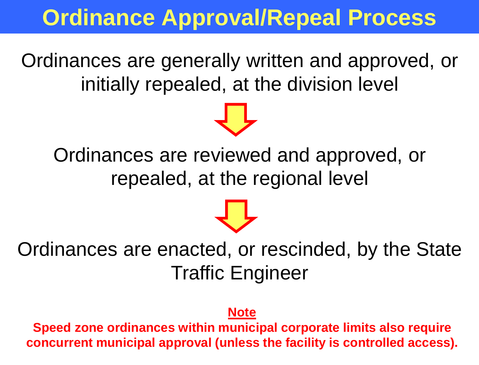## **Ordinance Approval/Repeal Process**

Ordinances are generally written and approved, or initially repealed, at the division level

Ordinances are reviewed and approved, or repealed, at the regional level

Ordinances are enacted, or rescinded, by the State Traffic Engineer

### **Note**

**Speed zone ordinances within municipal corporate limits also require concurrent municipal approval (unless the facility is controlled access).**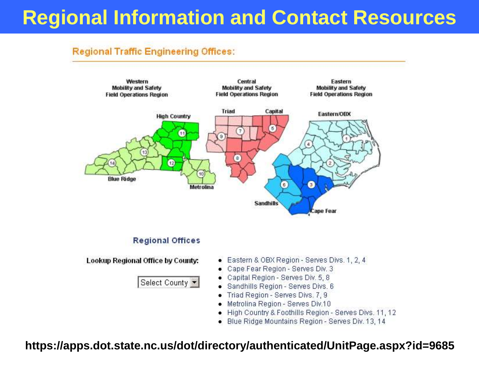## **Regional Information and Contact Resources**

### **Regional Traffic Engineering Offices:**



Select County

- Cape Fear Region Serves Div. 3
- Capital Region Serves Div. 5, 8
- · Sandhills Region Serves Divs. 6
- Triad Region Serves Divs. 7, 9
- · Metrolina Region Serves Div.10
- . High Country & Foothills Region Serves Divs. 11, 12
- · Blue Ridge Mountains Region Serves Div. 13, 14

### https://apps.dot.state.nc.us/dot/directory/authenticated/UnitPage.aspx?id=9685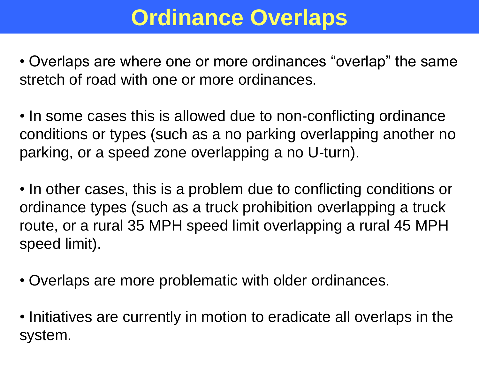# **Ordinance Overlaps**

• Overlaps are where one or more ordinances "overlap" the same stretch of road with one or more ordinances.

• In some cases this is allowed due to non-conflicting ordinance conditions or types (such as a no parking overlapping another no parking, or a speed zone overlapping a no U-turn).

• In other cases, this is a problem due to conflicting conditions or ordinance types (such as a truck prohibition overlapping a truck route, or a rural 35 MPH speed limit overlapping a rural 45 MPH speed limit).

- Overlaps are more problematic with older ordinances.
- Initiatives are currently in motion to eradicate all overlaps in the system.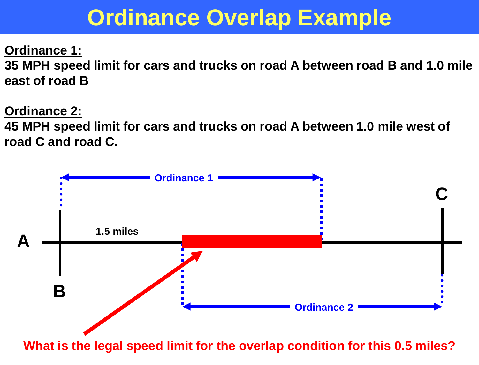## **Ordinance Overlap Example**

**Ordinance 1: 35 MPH speed limit for cars and trucks on road A between road B and 1.0 mile east of road B**

**Ordinance 2:**

**45 MPH speed limit for cars and trucks on road A between 1.0 mile west of road C and road C.**



**What is the legal speed limit for the overlap condition for this 0.5 miles?**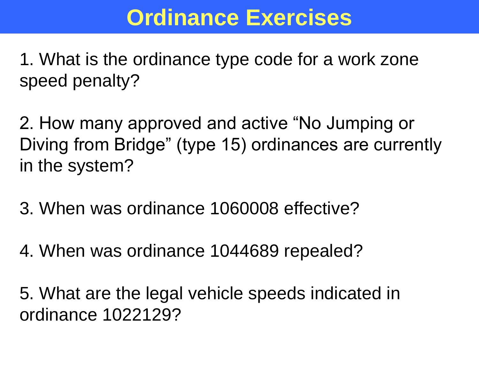1. What is the ordinance type code for a work zone speed penalty?

2. How many approved and active "No Jumping or Diving from Bridge" (type 15) ordinances are currently in the system?

3. When was ordinance 1060008 effective?

4. When was ordinance 1044689 repealed?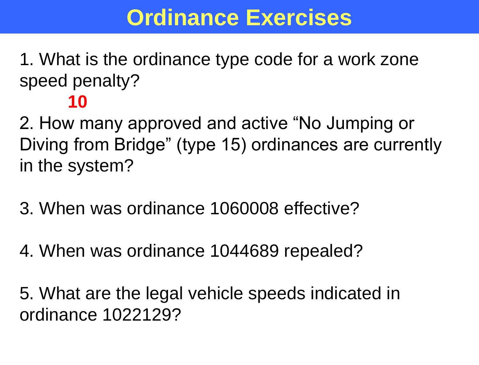1. What is the ordinance type code for a work zone speed penalty?

**10**

2. How many approved and active "No Jumping or Diving from Bridge" (type 15) ordinances are currently in the system?

- 3. When was ordinance 1060008 effective?
- 4. When was ordinance 1044689 repealed?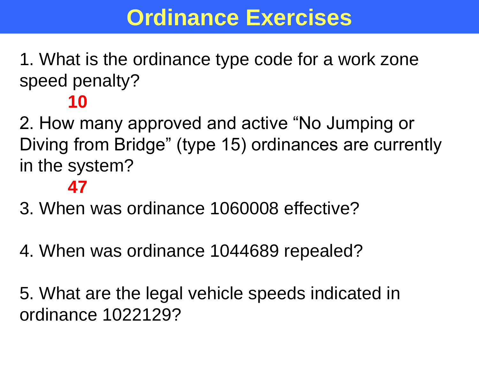1. What is the ordinance type code for a work zone speed penalty?

## **10**

2. How many approved and active "No Jumping or Diving from Bridge" (type 15) ordinances are currently in the system?

## **47**

- 3. When was ordinance 1060008 effective?
- 4. When was ordinance 1044689 repealed?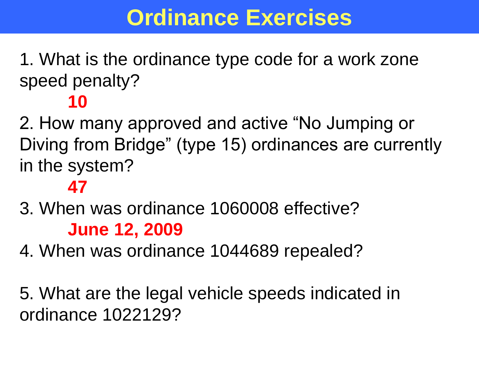1. What is the ordinance type code for a work zone speed penalty?

## **10**

2. How many approved and active "No Jumping or Diving from Bridge" (type 15) ordinances are currently in the system?

### **47**

- 3. When was ordinance 1060008 effective? **June 12, 2009**
- 4. When was ordinance 1044689 repealed?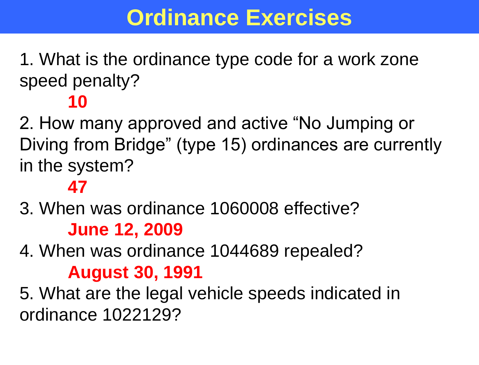1. What is the ordinance type code for a work zone speed penalty?

## **10**

2. How many approved and active "No Jumping or Diving from Bridge" (type 15) ordinances are currently in the system?

### **47**

3. When was ordinance 1060008 effective? **June 12, 2009**

4. When was ordinance 1044689 repealed? **August 30, 1991**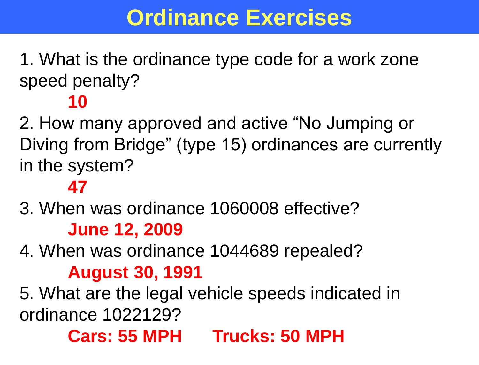1. What is the ordinance type code for a work zone speed penalty?

### **10**

2. How many approved and active "No Jumping or Diving from Bridge" (type 15) ordinances are currently in the system?

### **47**

3. When was ordinance 1060008 effective? **June 12, 2009**

4. When was ordinance 1044689 repealed? **August 30, 1991**

5. What are the legal vehicle speeds indicated in ordinance 1022129?

## **Cars: 55 MPH Trucks: 50 MPH**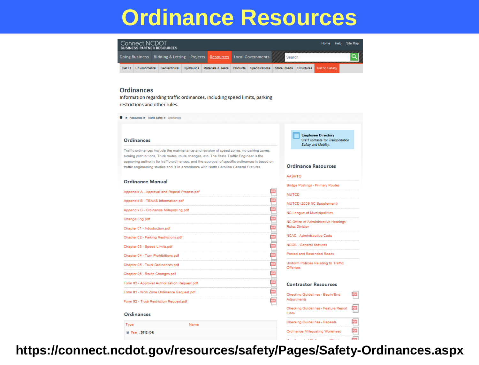## **Ordinance Resources**



**Employee Directory** 

**Ordinance Resources** 

**AASHTO** 

Staff contacts for Transportation Safety and Mobility.

PDF

PDF

PDF  $\frac{1}{2}$ 

#### **Ordinances**

Information regarding traffic ordinances, including speed limits, parking restrictions and other rules.

<sup></sup> ► Resources ► Traffic Safety ► Ordinances

#### Ordinances

Traffic ordinances include the maintenance and revision of speed zones, no parking zones, turning prohibitions, Truck routes, route changes, etc. The State Traffic Engineer is the approving authority for traffic ordinances, and the approval of specific ordinances is based on traffic engineering studies and is in accordance with North Carolina General Statutes.

#### **Ordinance Manual**

| UTUMIQIIUE IVIGHUGI                       |                                              | Bridge Postings - Primary Routes                     |
|-------------------------------------------|----------------------------------------------|------------------------------------------------------|
|                                           | Appendix A - Approval and Repeal Process.pdf | <b>MUTCD</b>                                         |
| Appendix B - TEAAS Information.pdf        |                                              | MUTCD (2009 NC Supplement)                           |
| Appendix C - Ordinance Mileposting.pdf    |                                              | NC League of Municipalities                          |
| Change Log.pdf                            |                                              | NC Office of Administrative Hearings -               |
| Chapter 01 - Introduction.pdf             |                                              | <b>Rules Division</b>                                |
| Chapter 02 - Parking Restrictions.pdf     |                                              | NCAC - Administrative Code                           |
| Chapter 03 - Speed Limits.pdf             |                                              | <b>NCGS - General Statutes</b>                       |
| Chapter 04 - Turn Prohibitions.pdf        |                                              | Posted and Rescinded Roads                           |
| Chapter 05 - Truck Ordinances.pdf         |                                              | Uniform Policies Relating to Traffic<br>Offenses     |
| Chapter 06 - Route Changes.pdf            |                                              |                                                      |
|                                           | Form 03 - Approval Authorization Request.pdf | <b>Contractor Resources</b>                          |
| Form 01 - Work Zone Ordinance Request.pdf |                                              | Checking Guidelines - Begin/End                      |
| Form 02 - Truck Restriction Request.pdf   |                                              | Adjustments                                          |
| <b>Ordinances</b>                         |                                              | Checking Guidelines - Feature Report<br><b>Edits</b> |
| Type                                      | Name                                         | <b>Checking Guidelines - Repeals</b>                 |
| ⊞ Year: 2012 (64)                         |                                              | Ordinance Mileposting Worksheet                      |
|                                           |                                              |                                                      |

**https://connect.ncdot.gov/resources/safety/Pages/Safety-Ordinances.aspx**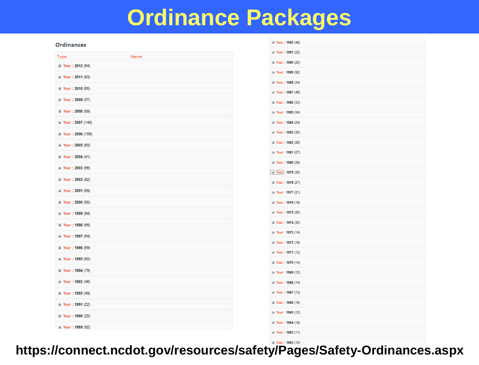## **Ordinance Packages**

#### **Ordinances**

|                           |      | ⊞ Year: 1991 (22)         |
|---------------------------|------|---------------------------|
| Type<br>⊞ Year: 2012 (64) | Name | ⊞ Year: 1990 (25)         |
|                           |      | ⊞ Year: 1989 (92)         |
| <b>ED Year: 2011 (63)</b> |      | ⊞ Year: 1988 (34)         |
| ⊞ Year: 2010 (65)         |      | <b>ED Year: 1987 (46)</b> |
| ⊞ Year: 2009 (57)         |      | ⊞ Year: 1986 (33)         |
| ⊞ Year: 2008 (89)         |      | <b>ED</b> Year: 1985 (34) |
| ⊞ Year: 2007 (140)        |      | ⊞ Year: 1984 (24)         |
| ⊞ Year: 2006 (159)        |      | <b>ED Year: 1983 (30)</b> |
| <b>■ Year: 2005 (60)</b>  |      | ⊞ Year: 1982 (26)         |
| ⊞ Year: 2004 (41)         |      | <b>■ Year: 1981 (27)</b>  |
| ⊞ Year: 2003 (66)         |      | ⊞ Year: 1980 (29)         |
|                           |      | ■ Year: 1979 (30)         |
| ⊞ Year: 2002 (82)         |      | ⊞ Year: 1978 (27)         |
| ⊞ Year: 2001 (69)         |      | ⊞ Year: 1977 (21)         |
| ⊞ Year: 2000 (90)         |      | ⊞ Year: 1976 (19)         |
| ⊞ Year: 1999 (94)         |      | ⊞ Year: 1975 (20)         |
| ⊞ Year: 1998 (66)         |      | ⊞ Year: 1974 (30)         |
| <b>ED Year: 1997 (64)</b> |      | ⊞ Year: 1973 (14)         |
| El Year: 1996 (69)        |      | ⊞ Year: 1972 (19)         |
| <b>ED</b> Year: 1995 (60) |      | ⊞ Year: 1971 (12)         |
| ⊞ Year: 1994 (79)         |      | ⊞ Year: 1970 (14)         |
|                           |      | <b>ED</b> Year: 1969 (12) |
| ⊞ Year: 1993 (46)         |      | ⊞ Year: 1968 (14)         |
| ⊞ Year: 1992 (48)         |      | <b>ED Year: 1967 (13)</b> |
| ⊞ Year: 1991 (22)         |      | ⊞ Year: 1966 (19)         |
| ⊞ Year: 1990 (25)         |      | ⊞ Year: 1965 (12)         |
| <b>ED Year: 1989 (92)</b> |      | ⊞ Year: 1964 (18)         |
|                           |      | ⊞ Year: 1963 (11)         |

⊞ Year: 1992 (48)

**https://connect.ncdot.gov/resources/safety/Pages/Safety-Ordinances.aspx**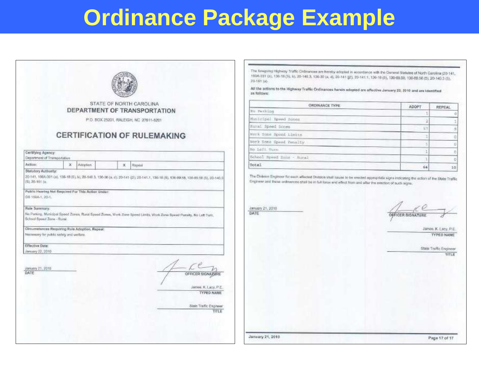# Ordinance Package Example

|                                                                                                                                                    | STATE OF NORTH CAROLINA                                                                                                                                                                                                     |
|----------------------------------------------------------------------------------------------------------------------------------------------------|-----------------------------------------------------------------------------------------------------------------------------------------------------------------------------------------------------------------------------|
|                                                                                                                                                    | DEPARTMENT OF TRANSPORTATION                                                                                                                                                                                                |
|                                                                                                                                                    | P.O. BOX 25201, RALEIGH, NC 27611-5201                                                                                                                                                                                      |
|                                                                                                                                                    |                                                                                                                                                                                                                             |
|                                                                                                                                                    | <b>CERTIFICATION OF RULEMAKING</b>                                                                                                                                                                                          |
|                                                                                                                                                    |                                                                                                                                                                                                                             |
| Certifying Agency:<br>Department of Transportation                                                                                                 |                                                                                                                                                                                                                             |
| Action:                                                                                                                                            | x<br>Adoption.<br>×<br>Report                                                                                                                                                                                               |
| GS 150A-1, 20-1.<br>Rule Summary.<br>School Speed Zone - Runal.<br>Necessary for public safety and wettere.<br>Effective Date:<br>January 22, 2010 | Public Hearing Not Required For This Action Under:<br>No Parking, Municipal Speed Zones, Runal Speed Zones, Work Zone Speed Limits, Work Zone Board Parady, No Left Turn.<br>Circumstances Requiring Rule Adoption, Repeal: |
| January 21, 2010<br>DATE                                                                                                                           | OFFICER SIGNAZURE<br>James, K. Lacy, P.E.<br><b>TYPED NAME</b><br>State Traffic Engineer<br>TITLE                                                                                                                           |

The foregring Highway Traffic Ordinances are hereby adopted in accordance with the General Statutes of North Gerolina (20-141, 1604-301 (a), 136-18 (6), b), 20-140 3, 136-39 (a, d), 20-141 (j2), 20-141.1, 136-18 (5), 136-89.58, 136-89.58 (5), 20-140.3 (5), 20-161 (a).

All the actions to the Highway Traffic Ordinances handn adopted are effective January 22, 2010 and are Identified as follows:

| ORDINANCE TYPE             | ADOPT | <b>REPEAL</b> |
|----------------------------|-------|---------------|
| No. Tackton                |       |               |
| Municipal Speed Zones      |       |               |
| Eural Speed fiones         | 57    |               |
| Work Song Speed Limits     |       |               |
| Nork Sono Speed Penalty    |       |               |
| No Laft Turn               | €ĭ.   |               |
| fichool Speed Suns - Miral | H.    |               |
| Total                      | 64    | $-10$         |

The Ohilaion Engineer for each affected Division shall cause to be erected appropriate signs including the action of the State Traffic Engineer and those ordinamies shall be in full force and effect from and after the erection of such signs.

January 21, 2010

DATE

OFFICER SIGNATURE

James, K. Lacy, P.E. **TYPED NAME** 

|                  |  | State Indic Engineer |
|------------------|--|----------------------|
|                  |  | TITLE                |
|                  |  |                      |
|                  |  |                      |
|                  |  |                      |
|                  |  |                      |
|                  |  |                      |
|                  |  |                      |
| January 21, 2010 |  | Page 17 of 17        |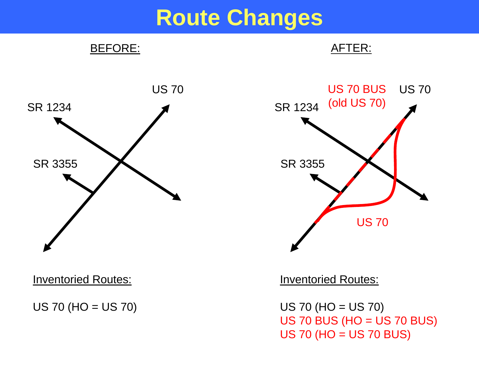## **Route Changes**



Inventoried Routes:

US 70 (HO = US 70)

Inventoried Routes:

US 70 (HO = US 70) US 70 BUS (HO = US 70 BUS) US 70 (HO = US 70 BUS)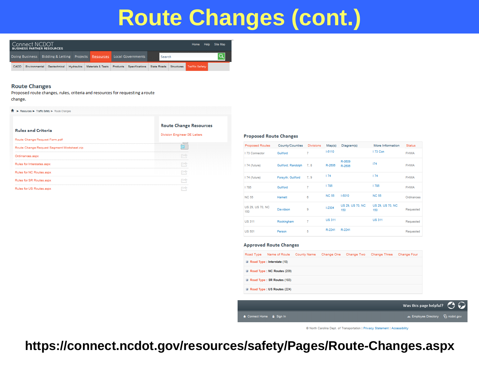# **Route Changes (cont.)**



#### **Route Changes**

Proposed route changes, rules, criteria and resources for requesting a route change.

| <b>If It is incomined a literal opinion of the community of the community</b> |                                                                      |
|-------------------------------------------------------------------------------|----------------------------------------------------------------------|
| <b>Rules and Criteria</b>                                                     | <b>Route Change Resources</b><br><b>Division Engineer DE Letters</b> |
| Route Change Request Form.pdf                                                 |                                                                      |
| Route Change Request Segment Worksheet.zip                                    |                                                                      |
| Ordinances.aspx                                                               |                                                                      |
| Rules for Interstates.aspx                                                    |                                                                      |
| Rules for NC Routes, aspx                                                     |                                                                      |
| Rules for SR Routes.aspx                                                      |                                                                      |
| Rules for US Routes.aspx                                                      |                                                                      |

#### **Proposed Route Changes**

| <b>Proposed Routes</b>  | County/Counties    | <b>Divisions</b> | Map(s)        | Diagram(s)              | More Information        | <b>Status</b> |
|-------------------------|--------------------|------------------|---------------|-------------------------|-------------------------|---------------|
| 173 Connector           | Guilford           | 7                | $1 - 5110$    |                         | 173 Con                 | <b>FHWA</b>   |
| 174 (future)            | Guilford; Randolph | 7.8              | R-2606        | R-0609<br>R-2606        | 174                     | <b>FHWA</b>   |
| 174 (future)            | Forsyth; Guilford  | 7.9              | 174           |                         | 174                     | <b>FHWA</b>   |
| 785                     | Guilford           | 7                | 1785          |                         | 1785                    | <b>FHWA</b>   |
| <b>NC 55</b>            | Harnett            | 8                | <b>NC 55</b>  | $1 - 5010$              | <b>NC 55</b>            | Ordinances    |
| US 29, US 70, NC<br>150 | Davidson           | 9                | $1 - 2304$    | US 29, US 70, NC<br>150 | US 29, US 70, NC<br>150 | Requested     |
| <b>US 311</b>           | Rockingham         | 7                | <b>US 311</b> |                         | <b>US 311</b>           | Requested     |
| <b>US 501</b>           | Person             | 5                | R-2241        | R-2241                  |                         | Requested     |

#### **Approved Route Changes**

| Road Type | Name of Route County Name            | Change One | Change Two Change Three | Change Four |
|-----------|--------------------------------------|------------|-------------------------|-------------|
|           | El Road Type : Interstate (18)       |            |                         |             |
|           | El Road Type: NC Routes (209)        |            |                         |             |
|           | <b>El Road Type: SR Routes (183)</b> |            |                         |             |
|           | El Road Type : US Routes (224)       |            |                         |             |
|           |                                      |            |                         |             |



© North Carolina Dept. of Transportation | Privacy Statement | Accessibility

**https://connect.ncdot.gov/resources/safety/Pages/Route-Changes.aspx**